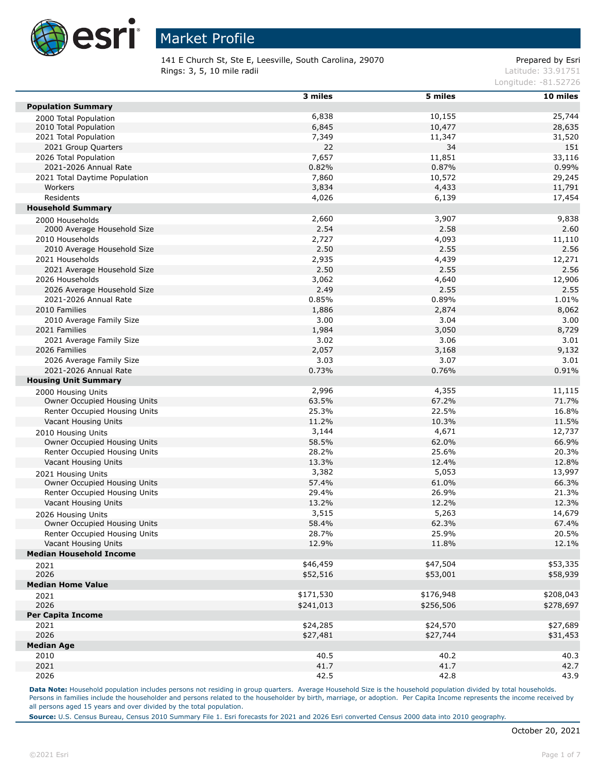

141 E Church St, Ste E, Leesville, South Carolina, 29070 Prepared by Esri Rings: 3, 5, 10 mile radii and the contract of the contract of the contract of the contract of the contract of the contract of the contract of the contract of the contract of the contract of the contract of the contract of

Longitude: -81.52726

|                                                           | $3$ miles | 5 miles   | 10 miles  |
|-----------------------------------------------------------|-----------|-----------|-----------|
| <b>Population Summary</b>                                 |           |           |           |
| 2000 Total Population                                     | 6,838     | 10,155    | 25,744    |
| 2010 Total Population                                     | 6,845     | 10,477    | 28,635    |
| 2021 Total Population                                     | 7,349     | 11,347    | 31,520    |
| 2021 Group Quarters                                       | 22        | 34        | 151       |
| 2026 Total Population                                     | 7,657     | 11,851    | 33,116    |
| 2021-2026 Annual Rate                                     | 0.82%     | 0.87%     | 0.99%     |
| 2021 Total Daytime Population                             | 7,860     | 10,572    | 29,245    |
| Workers                                                   | 3,834     | 4,433     | 11,791    |
| Residents                                                 | 4,026     | 6,139     | 17,454    |
| <b>Household Summary</b>                                  |           |           |           |
| 2000 Households                                           | 2,660     | 3,907     | 9,838     |
| 2000 Average Household Size                               | 2.54      | 2.58      | 2.60      |
| 2010 Households                                           | 2,727     | 4,093     | 11,110    |
| 2010 Average Household Size                               | 2.50      | 2.55      | 2.56      |
| 2021 Households                                           | 2,935     | 4,439     | 12,271    |
| 2021 Average Household Size                               | 2.50      | 2.55      | 2.56      |
| 2026 Households                                           | 3,062     | 4,640     | 12,906    |
| 2026 Average Household Size                               | 2.49      | 2.55      | 2.55      |
| 2021-2026 Annual Rate                                     | 0.85%     | 0.89%     | 1.01%     |
| 2010 Families                                             | 1,886     | 2,874     | 8,062     |
| 2010 Average Family Size                                  | 3.00      | 3.04      | 3.00      |
| 2021 Families                                             | 1,984     | 3,050     | 8,729     |
| 2021 Average Family Size                                  | 3.02      | 3.06      | 3.01      |
| 2026 Families                                             | 2,057     | 3,168     | 9,132     |
| 2026 Average Family Size                                  | 3.03      | 3.07      | 3.01      |
| 2021-2026 Annual Rate                                     | 0.73%     | 0.76%     | 0.91%     |
| <b>Housing Unit Summary</b>                               |           |           |           |
| 2000 Housing Units                                        | 2,996     | 4,355     | 11,115    |
| Owner Occupied Housing Units                              | 63.5%     | 67.2%     | 71.7%     |
| Renter Occupied Housing Units                             | 25.3%     | 22.5%     | 16.8%     |
| Vacant Housing Units                                      | 11.2%     | 10.3%     | 11.5%     |
| 2010 Housing Units                                        | 3,144     | 4,671     | 12,737    |
| Owner Occupied Housing Units                              | 58.5%     | 62.0%     | 66.9%     |
| Renter Occupied Housing Units                             | 28.2%     | 25.6%     | 20.3%     |
| Vacant Housing Units                                      | 13.3%     | 12.4%     | 12.8%     |
|                                                           | 3,382     | 5,053     | 13,997    |
| 2021 Housing Units<br>Owner Occupied Housing Units        | 57.4%     | 61.0%     | 66.3%     |
| Renter Occupied Housing Units                             | 29.4%     | 26.9%     | 21.3%     |
| Vacant Housing Units                                      | 13.2%     | 12.2%     | 12.3%     |
|                                                           | 3,515     | 5,263     | 14,679    |
| 2026 Housing Units<br><b>Owner Occupied Housing Units</b> | 58.4%     | 62.3%     | 67.4%     |
| Renter Occupied Housing Units                             | 28.7%     | 25.9%     | 20.5%     |
| Vacant Housing Units                                      | 12.9%     | 11.8%     | 12.1%     |
| <b>Median Household Income</b>                            |           |           |           |
|                                                           | \$46,459  | \$47,504  | \$53,335  |
| 2021<br>2026                                              | \$52,516  | \$53,001  | \$58,939  |
| <b>Median Home Value</b>                                  |           |           |           |
|                                                           | \$171,530 | \$176,948 | \$208,043 |
| 2021                                                      |           |           |           |
| 2026<br><b>Per Capita Income</b>                          | \$241,013 | \$256,506 | \$278,697 |
| 2021                                                      | \$24,285  | \$24,570  | \$27,689  |
| 2026                                                      |           |           |           |
| <b>Median Age</b>                                         | \$27,481  | \$27,744  | \$31,453  |
|                                                           | 40.5      |           | 40.3      |
| 2010                                                      |           | 40.2      |           |
| 2021                                                      | 41.7      | 41.7      | 42.7      |
| 2026                                                      | 42.5      | 42.8      | 43.9      |

Data Note: Household population includes persons not residing in group quarters. Average Household Size is the household population divided by total households. Persons in families include the householder and persons related to the householder by birth, marriage, or adoption. Per Capita Income represents the income received by all persons aged 15 years and over divided by the total population.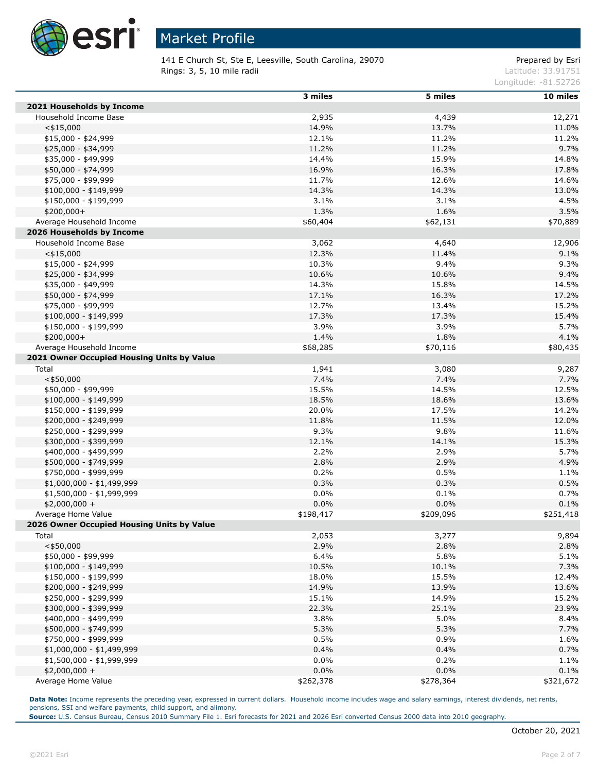

141 E Church St, Ste E, Leesville, South Carolina, 29070 Prepared by Esri **Rings: 3, 5, 10 mile radii** Latitude: 33.91751

Longitude: -81.52726

|                                            | $3$ miles | 5 miles   | 10 miles  |
|--------------------------------------------|-----------|-----------|-----------|
| 2021 Households by Income                  |           |           |           |
| Household Income Base                      | 2,935     | 4,439     | 12,271    |
| $<$ \$15,000                               | 14.9%     | 13.7%     | 11.0%     |
| \$15,000 - \$24,999                        | 12.1%     | 11.2%     | 11.2%     |
| \$25,000 - \$34,999                        | 11.2%     | 11.2%     | 9.7%      |
| \$35,000 - \$49,999                        | 14.4%     | 15.9%     | 14.8%     |
| \$50,000 - \$74,999                        | 16.9%     | 16.3%     | 17.8%     |
| \$75,000 - \$99,999                        | 11.7%     | 12.6%     | 14.6%     |
| $$100,000 - $149,999$                      | 14.3%     | 14.3%     | 13.0%     |
| \$150,000 - \$199,999                      | 3.1%      | 3.1%      | 4.5%      |
| $$200,000+$                                | 1.3%      | 1.6%      | 3.5%      |
| Average Household Income                   | \$60,404  | \$62,131  | \$70,889  |
| 2026 Households by Income                  |           |           |           |
| Household Income Base                      | 3,062     | 4,640     | 12,906    |
| $<$ \$15,000                               | 12.3%     | 11.4%     | 9.1%      |
| $$15,000 - $24,999$                        | 10.3%     | 9.4%      | 9.3%      |
| \$25,000 - \$34,999                        | 10.6%     | 10.6%     | 9.4%      |
| \$35,000 - \$49,999                        | 14.3%     | 15.8%     | 14.5%     |
| \$50,000 - \$74,999                        | 17.1%     | 16.3%     | 17.2%     |
| \$75,000 - \$99,999                        | 12.7%     | 13.4%     | 15.2%     |
| $$100,000 - $149,999$                      | 17.3%     | 17.3%     | 15.4%     |
| \$150,000 - \$199,999                      | 3.9%      | 3.9%      | 5.7%      |
| \$200,000+                                 | 1.4%      | 1.8%      | 4.1%      |
| Average Household Income                   | \$68,285  | \$70,116  | \$80,435  |
| 2021 Owner Occupied Housing Units by Value |           |           |           |
| Total                                      | 1,941     | 3,080     | 9,287     |
| $<$ \$50,000                               | 7.4%      | 7.4%      | 7.7%      |
| \$50,000 - \$99,999                        | 15.5%     | 14.5%     | 12.5%     |
| \$100,000 - \$149,999                      | 18.5%     | 18.6%     | 13.6%     |
| \$150,000 - \$199,999                      | 20.0%     | 17.5%     | 14.2%     |
| \$200,000 - \$249,999                      | 11.8%     | 11.5%     | 12.0%     |
| \$250,000 - \$299,999                      | 9.3%      | 9.8%      | 11.6%     |
| \$300,000 - \$399,999                      | 12.1%     | 14.1%     | 15.3%     |
| \$400,000 - \$499,999                      | 2.2%      | 2.9%      | 5.7%      |
| \$500,000 - \$749,999                      | 2.8%      | 2.9%      | 4.9%      |
| \$750,000 - \$999,999                      | 0.2%      | 0.5%      | 1.1%      |
| $$1,000,000 - $1,499,999$                  | 0.3%      | 0.3%      | 0.5%      |
| \$1,500,000 - \$1,999,999                  | 0.0%      | 0.1%      | 0.7%      |
| $$2,000,000 +$                             | 0.0%      | 0.0%      | 0.1%      |
| Average Home Value                         | \$198,417 | \$209,096 | \$251,418 |
| 2026 Owner Occupied Housing Units by Value |           |           |           |
| Total                                      | 2,053     | 3,277     | 9,894     |
| $<$ \$50,000                               | 2.9%      | 2.8%      | 2.8%      |
| \$50,000 - \$99,999                        | 6.4%      | 5.8%      | 5.1%      |
| $$100,000 - $149,999$                      | 10.5%     | 10.1%     | 7.3%      |
| \$150,000 - \$199,999                      | 18.0%     | 15.5%     | 12.4%     |
| \$200,000 - \$249,999                      | 14.9%     | 13.9%     | 13.6%     |
| \$250,000 - \$299,999                      | 15.1%     | 14.9%     | 15.2%     |
| \$300,000 - \$399,999                      | 22.3%     | 25.1%     | 23.9%     |
| \$400,000 - \$499,999                      | 3.8%      | 5.0%      | 8.4%      |
| \$500,000 - \$749,999                      | 5.3%      | 5.3%      | 7.7%      |
| \$750,000 - \$999,999                      | 0.5%      | 0.9%      | 1.6%      |
| \$1,000,000 - \$1,499,999                  | 0.4%      | 0.4%      | 0.7%      |
| \$1,500,000 - \$1,999,999                  | 0.0%      | 0.2%      | 1.1%      |
| $$2,000,000 +$                             | 0.0%      | 0.0%      | 0.1%      |
| Average Home Value                         | \$262,378 | \$278,364 | \$321,672 |

**Data Note:** Income represents the preceding year, expressed in current dollars. Household income includes wage and salary earnings, interest dividends, net rents, pensions, SSI and welfare payments, child support, and alimony.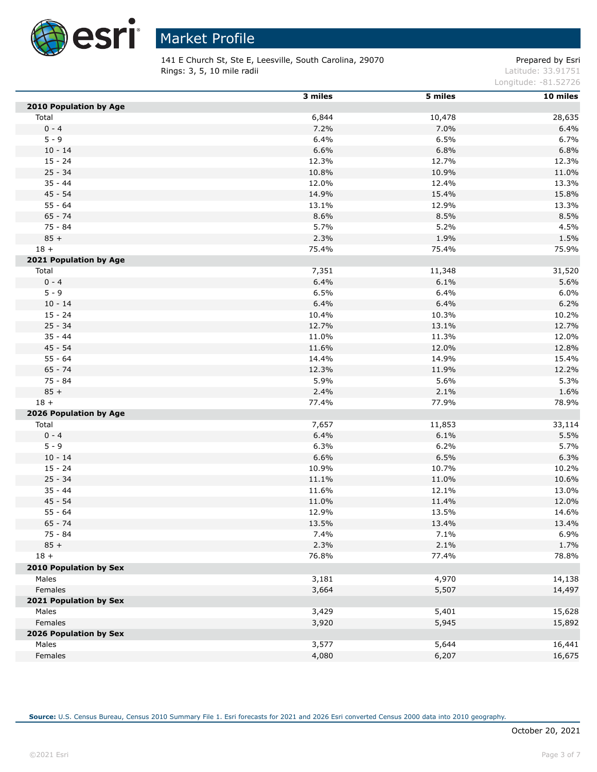

141 E Church St, Ste E, Leesville, South Carolina, 29070 Prepared by Esri **Rings: 3, 5, 10 mile radii** Latitude: 33.91751

Longitude: -81.52726

|                        | 3 miles | 5 miles | 10 miles |
|------------------------|---------|---------|----------|
| 2010 Population by Age |         |         |          |
| Total                  | 6,844   | 10,478  | 28,635   |
| $0 - 4$                | 7.2%    | 7.0%    | 6.4%     |
| $5 - 9$                | 6.4%    | 6.5%    | 6.7%     |
| $10 - 14$              | 6.6%    | 6.8%    | 6.8%     |
| $15 - 24$              | 12.3%   | 12.7%   | 12.3%    |
| $25 - 34$              | 10.8%   | 10.9%   | 11.0%    |
| $35 - 44$              | 12.0%   | 12.4%   | 13.3%    |
| $45 - 54$              | 14.9%   | 15.4%   | 15.8%    |
| $55 - 64$              | 13.1%   | 12.9%   | 13.3%    |
| $65 - 74$              | 8.6%    | 8.5%    | 8.5%     |
| 75 - 84                | 5.7%    | 5.2%    | 4.5%     |
| $85 +$                 | 2.3%    | 1.9%    | 1.5%     |
| $18 +$                 | 75.4%   | 75.4%   | 75.9%    |
| 2021 Population by Age |         |         |          |
| Total                  | 7,351   | 11,348  | 31,520   |
| $0 - 4$                | 6.4%    | 6.1%    | 5.6%     |
| $5 - 9$                | 6.5%    | 6.4%    | 6.0%     |
| $10 - 14$              | 6.4%    | 6.4%    | 6.2%     |
| $15 - 24$              | 10.4%   | 10.3%   | 10.2%    |
| $25 - 34$              | 12.7%   | 13.1%   | 12.7%    |
| $35 - 44$              | 11.0%   | 11.3%   | 12.0%    |
| 45 - 54                | 11.6%   | 12.0%   | 12.8%    |
| $55 - 64$              | 14.4%   | 14.9%   | 15.4%    |
| $65 - 74$              | 12.3%   | 11.9%   | 12.2%    |
| 75 - 84                | 5.9%    | 5.6%    | 5.3%     |
| $85 +$                 | 2.4%    | 2.1%    | 1.6%     |
| $18 +$                 | 77.4%   | 77.9%   | 78.9%    |
| 2026 Population by Age |         |         |          |
| Total                  | 7,657   | 11,853  | 33,114   |
| $0 - 4$                | 6.4%    | 6.1%    | 5.5%     |
| $5 - 9$                | 6.3%    | 6.2%    | 5.7%     |
| $10 - 14$              | 6.6%    | 6.5%    | 6.3%     |
| $15 - 24$              | 10.9%   | 10.7%   | 10.2%    |
| $25 - 34$              | 11.1%   | 11.0%   | 10.6%    |
| $35 - 44$              | 11.6%   | 12.1%   | 13.0%    |
| $45 - 54$              | 11.0%   | 11.4%   | 12.0%    |
| $55 - 64$              | 12.9%   | 13.5%   | 14.6%    |
| $65 - 74$              | 13.5%   | 13.4%   | 13.4%    |
| 75 - 84                | 7.4%    | 7.1%    | 6.9%     |
| $85 +$                 | 2.3%    | 2.1%    | 1.7%     |
| $18 +$                 | 76.8%   | 77.4%   | 78.8%    |
| 2010 Population by Sex |         |         |          |
| Males                  | 3,181   | 4,970   | 14,138   |
| Females                | 3,664   | 5,507   | 14,497   |
| 2021 Population by Sex |         |         |          |
| Males                  | 3,429   | 5,401   | 15,628   |
| Females                | 3,920   | 5,945   | 15,892   |
| 2026 Population by Sex |         |         |          |
| Males                  | 3,577   | 5,644   | 16,441   |
| Females                | 4,080   | 6,207   | 16,675   |
|                        |         |         |          |

**Source:** U.S. Census Bureau, Census 2010 Summary File 1. Esri forecasts for 2021 and 2026 Esri converted Census 2000 data into 2010 geography.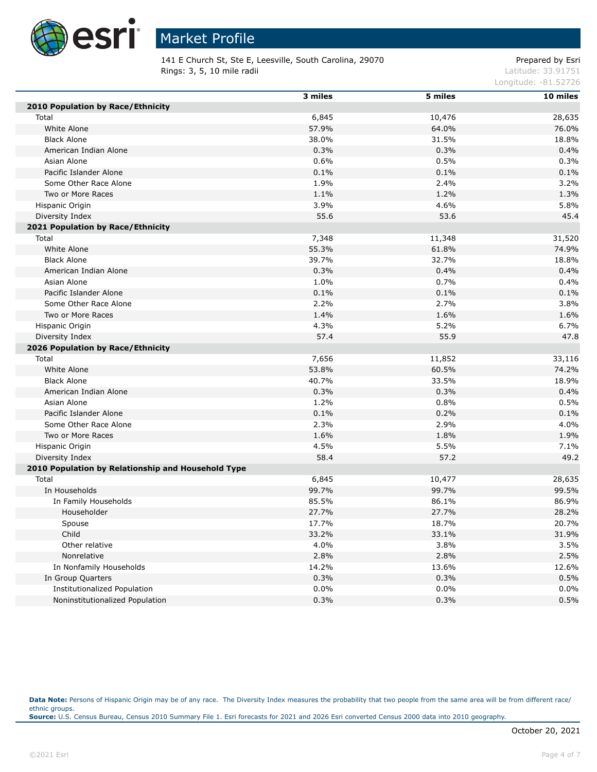

141 E Church St, Ste E, Leesville, South Carolina, 29070 Prepared by Esri **Rings: 3, 5, 10 mile radii** Latitude: 33.91751

Longitude: -81.52726

|                                                    | 3 miles | 5 miles | $10$ miles |
|----------------------------------------------------|---------|---------|------------|
| 2010 Population by Race/Ethnicity                  |         |         |            |
| Total                                              | 6,845   | 10,476  | 28,635     |
| White Alone                                        | 57.9%   | 64.0%   | 76.0%      |
| <b>Black Alone</b>                                 | 38.0%   | 31.5%   | 18.8%      |
| American Indian Alone                              | 0.3%    | 0.3%    | 0.4%       |
| Asian Alone                                        | 0.6%    | 0.5%    | 0.3%       |
| Pacific Islander Alone                             | 0.1%    | 0.1%    | 0.1%       |
| Some Other Race Alone                              | 1.9%    | 2.4%    | 3.2%       |
| Two or More Races                                  | 1.1%    | 1.2%    | 1.3%       |
| Hispanic Origin                                    | 3.9%    | 4.6%    | 5.8%       |
| Diversity Index                                    | 55.6    | 53.6    | 45.4       |
| 2021 Population by Race/Ethnicity                  |         |         |            |
| Total                                              | 7,348   | 11,348  | 31,520     |
| White Alone                                        | 55.3%   | 61.8%   | 74.9%      |
| <b>Black Alone</b>                                 | 39.7%   | 32.7%   | 18.8%      |
| American Indian Alone                              | 0.3%    | 0.4%    | 0.4%       |
| Asian Alone                                        | 1.0%    | 0.7%    | 0.4%       |
| Pacific Islander Alone                             | 0.1%    | 0.1%    | 0.1%       |
| Some Other Race Alone                              | 2.2%    | 2.7%    | 3.8%       |
| Two or More Races                                  | 1.4%    | 1.6%    | 1.6%       |
| Hispanic Origin                                    | 4.3%    | 5.2%    | 6.7%       |
| Diversity Index                                    | 57.4    | 55.9    | 47.8       |
| 2026 Population by Race/Ethnicity                  |         |         |            |
| Total                                              | 7,656   | 11,852  | 33,116     |
| White Alone                                        | 53.8%   | 60.5%   | 74.2%      |
| <b>Black Alone</b>                                 | 40.7%   | 33.5%   | 18.9%      |
| American Indian Alone                              | 0.3%    | 0.3%    | 0.4%       |
| Asian Alone                                        | 1.2%    | 0.8%    | 0.5%       |
| Pacific Islander Alone                             | 0.1%    | 0.2%    | 0.1%       |
| Some Other Race Alone                              | 2.3%    | 2.9%    | 4.0%       |
| Two or More Races                                  | 1.6%    | 1.8%    | 1.9%       |
| Hispanic Origin                                    | 4.5%    | 5.5%    | 7.1%       |
| Diversity Index                                    | 58.4    | 57.2    | 49.2       |
| 2010 Population by Relationship and Household Type |         |         |            |
| Total                                              | 6,845   | 10,477  | 28,635     |
| In Households                                      | 99.7%   | 99.7%   | 99.5%      |
| In Family Households                               | 85.5%   | 86.1%   | 86.9%      |
| Householder                                        | 27.7%   | 27.7%   | 28.2%      |
| Spouse                                             | 17.7%   | 18.7%   | 20.7%      |
| Child                                              | 33.2%   | 33.1%   | 31.9%      |
| Other relative                                     | 4.0%    | 3.8%    | 3.5%       |
| Nonrelative                                        | 2.8%    | 2.8%    | 2.5%       |
| In Nonfamily Households                            | 14.2%   | 13.6%   | 12.6%      |
| In Group Quarters                                  | 0.3%    | 0.3%    | 0.5%       |
| Institutionalized Population                       | 0.0%    | $0.0\%$ | 0.0%       |
| Noninstitutionalized Population                    | 0.3%    | 0.3%    | 0.5%       |

Data Note: Persons of Hispanic Origin may be of any race. The Diversity Index measures the probability that two people from the same area will be from different race/ ethnic groups. **Source:** U.S. Census Bureau, Census 2010 Summary File 1. Esri forecasts for 2021 and 2026 Esri converted Census 2000 data into 2010 geography.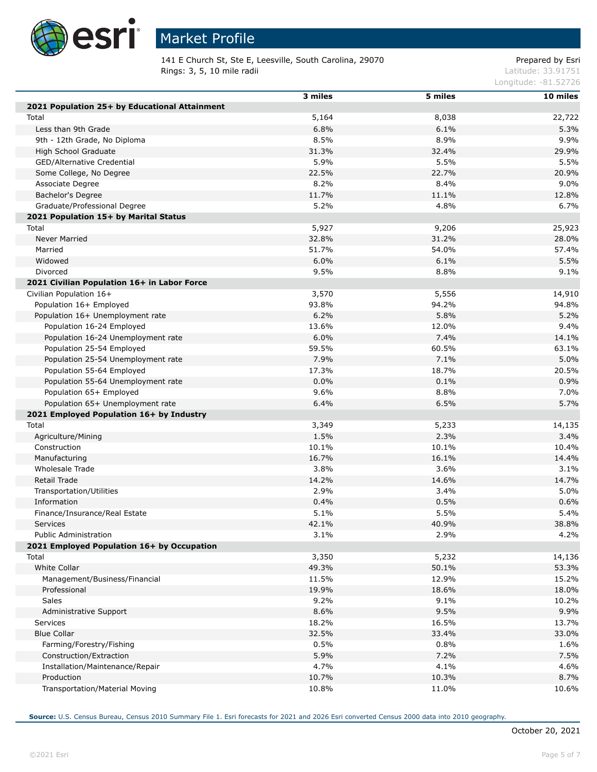

## Market Profile

141 E Church St, Ste E, Leesville, South Carolina, 29070 Prepared by Esri **Rings: 3, 5, 10 mile radii** Latitude: 33.91751

Longitude: -81.52726

|                                               | 3 miles      | 5 miles      | 10 miles       |
|-----------------------------------------------|--------------|--------------|----------------|
| 2021 Population 25+ by Educational Attainment |              |              |                |
| Total                                         | 5,164        | 8,038        | 22,722         |
| Less than 9th Grade                           | 6.8%         | 6.1%         | 5.3%           |
| 9th - 12th Grade, No Diploma                  | 8.5%         | 8.9%         | 9.9%           |
| High School Graduate                          | 31.3%        | 32.4%        | 29.9%          |
| GED/Alternative Credential                    | 5.9%         | 5.5%         | 5.5%           |
| Some College, No Degree                       | 22.5%        | 22.7%        | 20.9%          |
| Associate Degree                              | 8.2%         | 8.4%         | 9.0%           |
| Bachelor's Degree                             | 11.7%        | 11.1%        | 12.8%          |
| Graduate/Professional Degree                  | 5.2%         | 4.8%         | 6.7%           |
| 2021 Population 15+ by Marital Status         |              |              |                |
| Total                                         | 5,927        | 9,206        | 25,923         |
| <b>Never Married</b>                          | 32.8%        | 31.2%        | 28.0%          |
| Married                                       | 51.7%        | 54.0%        | 57.4%          |
| Widowed                                       | 6.0%         | 6.1%         | 5.5%           |
| Divorced                                      | 9.5%         | 8.8%         | 9.1%           |
| 2021 Civilian Population 16+ in Labor Force   |              |              |                |
| Civilian Population 16+                       | 3,570        | 5,556        | 14,910         |
| Population 16+ Employed                       | 93.8%        | 94.2%        | 94.8%          |
| Population 16+ Unemployment rate              | 6.2%         | 5.8%         | 5.2%           |
| Population 16-24 Employed                     | 13.6%        | 12.0%        | 9.4%           |
| Population 16-24 Unemployment rate            | 6.0%         | 7.4%         | 14.1%          |
| Population 25-54 Employed                     | 59.5%        | 60.5%        | 63.1%          |
| Population 25-54 Unemployment rate            | 7.9%         | 7.1%         | 5.0%           |
| Population 55-64 Employed                     | 17.3%        | 18.7%        | 20.5%          |
| Population 55-64 Unemployment rate            | 0.0%         | 0.1%         | 0.9%           |
| Population 65+ Employed                       | 9.6%         | 8.8%         | 7.0%           |
| Population 65+ Unemployment rate              | 6.4%         | 6.5%         | 5.7%           |
| 2021 Employed Population 16+ by Industry      |              |              |                |
| Total                                         | 3,349        | 5,233        |                |
|                                               | 1.5%         | 2.3%         | 14,135<br>3.4% |
| Agriculture/Mining<br>Construction            | 10.1%        | 10.1%        | 10.4%          |
|                                               | 16.7%        | 16.1%        | 14.4%          |
| Manufacturing<br>Wholesale Trade              | 3.8%         | 3.6%         | 3.1%           |
|                                               |              |              | 14.7%          |
| Retail Trade                                  | 14.2%        | 14.6%        |                |
| Transportation/Utilities<br>Information       | 2.9%         | 3.4%         | 5.0%           |
| Finance/Insurance/Real Estate                 | 0.4%<br>5.1% | 0.5%<br>5.5% | 0.6%<br>5.4%   |
|                                               |              |              | 38.8%          |
| <b>Services</b>                               | 42.1%        | 40.9%        |                |
| Public Administration                         | 3.1%         | 2.9%         | 4.2%           |
| 2021 Employed Population 16+ by Occupation    |              |              |                |
| Total<br><b>White Collar</b>                  | 3,350        | 5,232        | 14,136         |
|                                               | 49.3%        | 50.1%        | 53.3%          |
| Management/Business/Financial                 | 11.5%        | 12.9%        | 15.2%          |
| Professional                                  | 19.9%        | 18.6%        | 18.0%          |
| <b>Sales</b>                                  | 9.2%         | 9.1%         | 10.2%          |
| Administrative Support                        | 8.6%         | 9.5%         | 9.9%           |
| <b>Services</b>                               | 18.2%        | 16.5%        | 13.7%          |
| <b>Blue Collar</b>                            | 32.5%        | 33.4%        | 33.0%          |
| Farming/Forestry/Fishing                      | 0.5%         | 0.8%         | 1.6%           |
| Construction/Extraction                       | 5.9%         | 7.2%         | 7.5%           |
| Installation/Maintenance/Repair               | 4.7%         | 4.1%         | 4.6%           |
| Production                                    | 10.7%        | 10.3%        | 8.7%           |
| Transportation/Material Moving                | 10.8%        | 11.0%        | 10.6%          |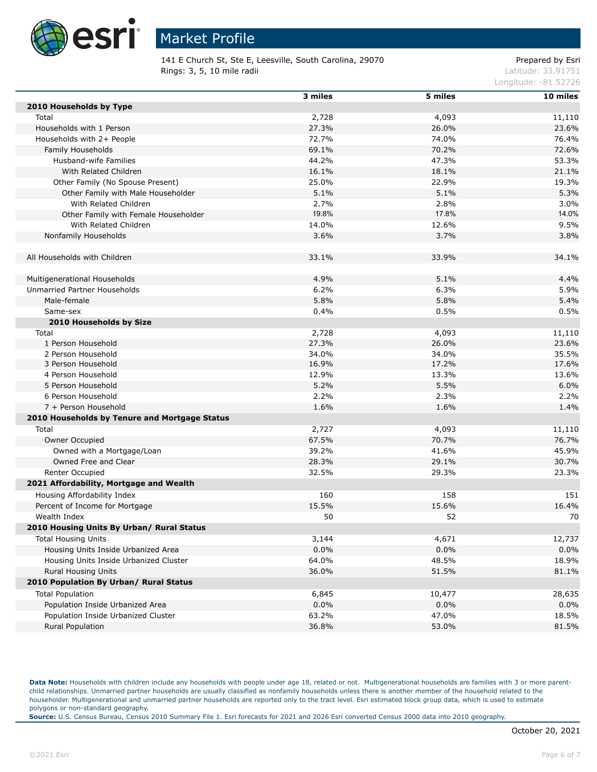

141 E Church St, Ste E, Leesville, South Carolina, 29070 Prepared by Esri Rings: 3, 5, 10 mile radii and the contract of the contract of the contract of the contract of the contract of the contract of the contract of the contract of the contract of the contract of the contract of the contract of

Longitude: -81.52726

|                                               | 3 miles | 5 miles | 10 miles |
|-----------------------------------------------|---------|---------|----------|
| 2010 Households by Type                       |         |         |          |
| Total                                         | 2,728   | 4,093   | 11,110   |
| Households with 1 Person                      | 27.3%   | 26.0%   | 23.6%    |
| Households with 2+ People                     | 72.7%   | 74.0%   | 76.4%    |
| Family Households                             | 69.1%   | 70.2%   | 72.6%    |
| Husband-wife Families                         | 44.2%   | 47.3%   | 53.3%    |
| With Related Children                         | 16.1%   | 18.1%   | 21.1%    |
| Other Family (No Spouse Present)              | 25.0%   | 22.9%   | 19.3%    |
| Other Family with Male Householder            | 5.1%    | 5.1%    | 5.3%     |
| With Related Children                         | 2.7%    | 2.8%    | 3.0%     |
| Other Family with Female Householder          | 19.8%   | 17.8%   | 14.0%    |
| With Related Children                         | 14.0%   | 12.6%   | 9.5%     |
| Nonfamily Households                          | 3.6%    | 3.7%    | 3.8%     |
|                                               |         |         |          |
| All Households with Children                  | 33.1%   | 33.9%   | 34.1%    |
|                                               |         |         |          |
| Multigenerational Households                  | 4.9%    | 5.1%    | 4.4%     |
| Unmarried Partner Households                  | 6.2%    | 6.3%    | 5.9%     |
| Male-female                                   | 5.8%    | 5.8%    | 5.4%     |
| Same-sex                                      | 0.4%    | 0.5%    | 0.5%     |
| 2010 Households by Size                       |         |         |          |
| Total                                         | 2,728   | 4,093   | 11,110   |
| 1 Person Household                            | 27.3%   | 26.0%   | 23.6%    |
| 2 Person Household                            | 34.0%   | 34.0%   | 35.5%    |
| 3 Person Household                            | 16.9%   | 17.2%   | 17.6%    |
| 4 Person Household                            | 12.9%   | 13.3%   | 13.6%    |
| 5 Person Household                            | 5.2%    | 5.5%    | 6.0%     |
| 6 Person Household                            | 2.2%    | 2.3%    | 2.2%     |
| 7 + Person Household                          | 1.6%    | 1.6%    | 1.4%     |
| 2010 Households by Tenure and Mortgage Status |         |         |          |
| Total                                         | 2,727   | 4,093   | 11,110   |
| Owner Occupied                                | 67.5%   | 70.7%   | 76.7%    |
| Owned with a Mortgage/Loan                    | 39.2%   | 41.6%   | 45.9%    |
| Owned Free and Clear                          | 28.3%   | 29.1%   | 30.7%    |
| Renter Occupied                               | 32.5%   | 29.3%   | 23.3%    |
| 2021 Affordability, Mortgage and Wealth       |         |         |          |
| Housing Affordability Index                   | 160     | 158     | 151      |
| Percent of Income for Mortgage                | 15.5%   | 15.6%   | 16.4%    |
| Wealth Index                                  | 50      | 52      | 70       |
| 2010 Housing Units By Urban/ Rural Status     |         |         |          |
| <b>Total Housing Units</b>                    | 3,144   | 4,671   | 12,737   |
| Housing Units Inside Urbanized Area           | 0.0%    | 0.0%    | 0.0%     |
| Housing Units Inside Urbanized Cluster        | 64.0%   | 48.5%   | 18.9%    |
| <b>Rural Housing Units</b>                    | 36.0%   | 51.5%   | 81.1%    |
| 2010 Population By Urban/ Rural Status        |         |         |          |
| <b>Total Population</b>                       | 6,845   | 10,477  | 28,635   |
| Population Inside Urbanized Area              | 0.0%    | 0.0%    | 0.0%     |
| Population Inside Urbanized Cluster           | 63.2%   | 47.0%   | 18.5%    |
|                                               |         |         |          |
| Rural Population                              | 36.8%   | 53.0%   | 81.5%    |

Data Note: Households with children include any households with people under age 18, related or not. Multigenerational households are families with 3 or more parentchild relationships. Unmarried partner households are usually classified as nonfamily households unless there is another member of the household related to the householder. Multigenerational and unmarried partner households are reported only to the tract level. Esri estimated block group data, which is used to estimate polygons or non-standard geography.